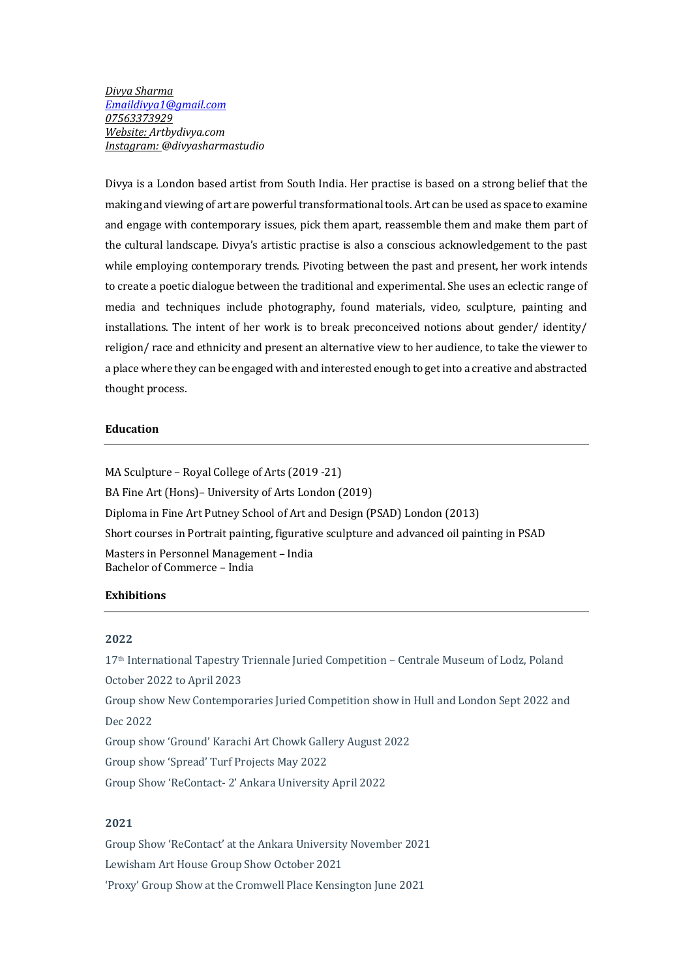*Divya Sharma Emaildivya1@gmail.com 07563373929 Website: Artbydivya.com Instagram: @divyasharmastudio*

Divya is a London based artist from South India. Her practise is based on a strong belief that the making and viewing of art are powerful transformational tools. Art can be used as space to examine and engage with contemporary issues, pick them apart, reassemble them and make them part of the cultural landscape. Divya's artistic practise is also a conscious acknowledgement to the past while employing contemporary trends. Pivoting between the past and present, her work intends to create a poetic dialogue between the traditional and experimental. She uses an eclectic range of media and techniques include photography, found materials, video, sculpture, painting and installations. The intent of her work is to break preconceived notions about gender/ identity/ religion/ race and ethnicity and present an alternative view to her audience, to take the viewer to a place where they can be engaged with and interested enough to get into a creative and abstracted thought process.

## **Education**

MA Sculpture - Royal College of Arts (2019 -21) BA Fine Art (Hons)– University of Arts London (2019) Diploma in Fine Art Putney School of Art and Design (PSAD) London (2013) Short courses in Portrait painting, figurative sculpture and advanced oil painting in PSAD Masters in Personnel Management - India Bachelor of Commerce - India

# **Exhibitions**

### **2022**

17<sup>th</sup> International Tapestry Triennale Juried Competition - Centrale Museum of Lodz, Poland October 2022 to April 2023 Group show New Contemporaries Juried Competition show in Hull and London Sept 2022 and Dec 2022 Group show 'Ground' Karachi Art Chowk Gallery August 2022 Group show 'Spread' Turf Projects May 2022 Group Show 'ReContact- 2' Ankara University April 2022

# **2021**

Group Show 'ReContact' at the Ankara University November 2021 Lewisham Art House Group Show October 2021 'Proxy' Group Show at the Cromwell Place Kensington June 2021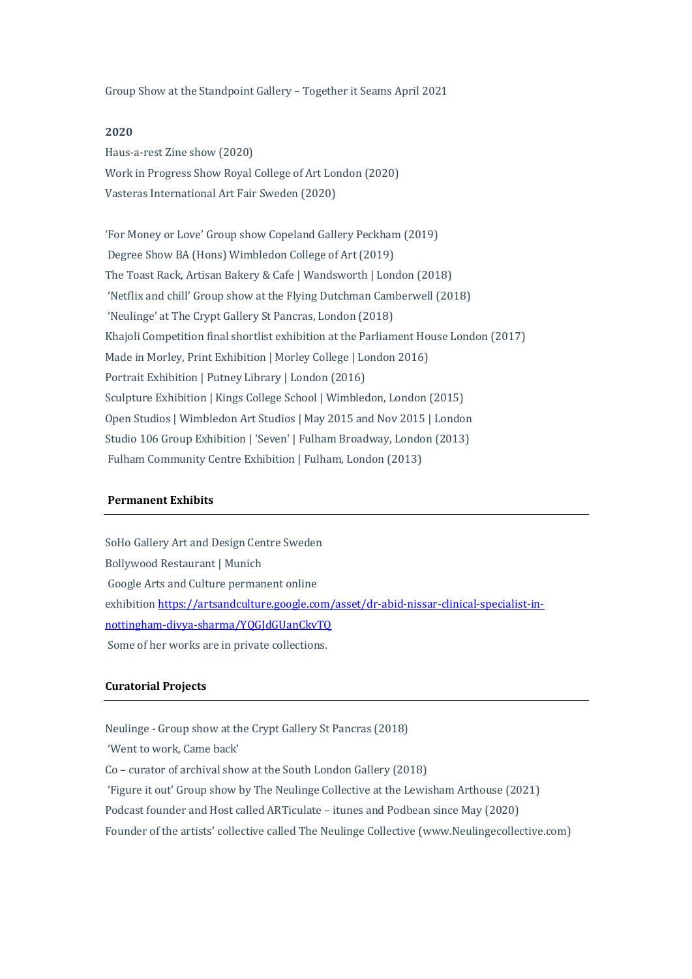Group Show at the Standpoint Gallery – Together it Seams April 2021

## **2020**

Haus-a-rest Zine show (2020) Work in Progress Show Royal College of Art London (2020) Vasteras International Art Fair Sweden (2020)

'For Money or Love' Group show Copeland Gallery Peckham (2019) Degree Show BA (Hons) Wimbledon College of Art (2019) The Toast Rack, Artisan Bakery & Cafe | Wandsworth | London (2018) 'Netflix and chill' Group show at the Flying Dutchman Camberwell (2018) 'Neulinge' at The Crypt Gallery St Pancras, London (2018) Khajoli Competition final shortlist exhibition at the Parliament House London (2017) Made in Morley, Print Exhibition | Morley College | London 2016) Portrait Exhibition | Putney Library | London (2016) Sculpture Exhibition | Kings College School | Wimbledon, London (2015) Open Studios | Wimbledon Art Studios | May 2015 and Nov 2015 | London Studio 106 Group Exhibition | 'Seven' | Fulham Broadway, London (2013) Fulham Community Centre Exhibition | Fulham, London (2013)

#### **Permanent Exhibits**

SoHo Gallery Art and Design Centre Sweden Bollywood Restaurant | Munich Google Arts and Culture permanent online exhibition https://artsandculture.google.com/asset/dr-abid-nissar-clinical-specialist-innottingham-divya-sharma/YQGJdGUanCkvTQ Some of her works are in private collections.

### **Curatorial Projects**

Neulinge - Group show at the Crypt Gallery St Pancras (2018)

'Went to work, Came back'

 $Co$  – curator of archival show at the South London Gallery (2018)

'Figure it out' Group show by The Neulinge Collective at the Lewisham Arthouse (2021)

Podcast founder and Host called ARTiculate - itunes and Podbean since May (2020)

Founder of the artists' collective called The Neulinge Collective (www.Neulingecollective.com)